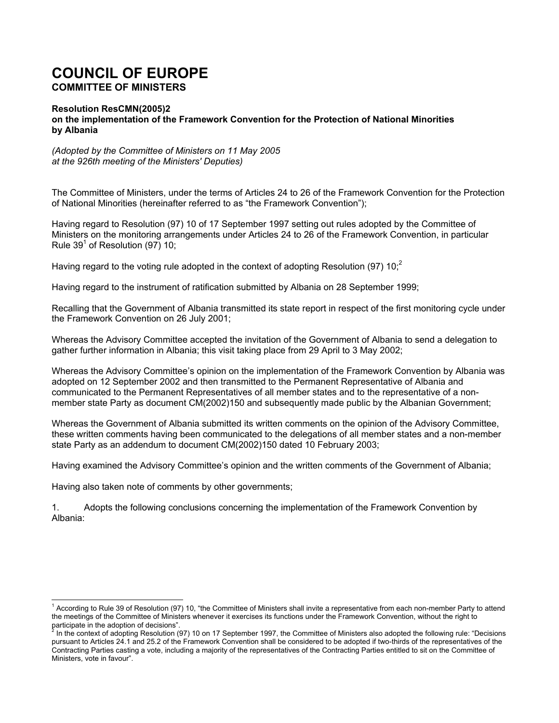## **COUNCIL OF EUROPE COMMITTEE OF MINISTERS**

## **Resolution ResCMN(2005)2 on the implementation of the Framework Convention for the Protection of National Minorities by Albania**

*(Adopted by the Committee of Ministers on 11 May 2005 at the 926th meeting of the Ministers' Deputies)* 

The Committee of Ministers, under the terms of Articles 24 to 26 of the Framework Convention for the Protection of National Minorities (hereinafter referred to as "the Framework Convention");

Having regard to Resolution (97) 10 of 17 September 1997 setting out rules adopted by the Committee of Ministers on the monitoring arrangements under Articles 24 to 26 of the Framework Convention, in particular Rule  $39^1$  of Resolution (97) 10;

Having regard to the voting rule adopted in the context of adopting Resolution (97)  $10<sup>2</sup>$ 

Having regard to the instrument of ratification submitted by Albania on 28 September 1999;

Recalling that the Government of Albania transmitted its state report in respect of the first monitoring cycle under the Framework Convention on 26 July 2001;

Whereas the Advisory Committee accepted the invitation of the Government of Albania to send a delegation to gather further information in Albania; this visit taking place from 29 April to 3 May 2002;

Whereas the Advisory Committee's opinion on the implementation of the Framework Convention by Albania was adopted on 12 September 2002 and then transmitted to the Permanent Representative of Albania and communicated to the Permanent Representatives of all member states and to the representative of a nonmember state Party as document CM(2002)150 and subsequently made public by the Albanian Government;

Whereas the Government of Albania submitted its written comments on the opinion of the Advisory Committee, these written comments having been communicated to the delegations of all member states and a non-member state Party as an addendum to document CM(2002)150 dated 10 February 2003;

Having examined the Advisory Committee's opinion and the written comments of the Government of Albania;

Having also taken note of comments by other governments;

l

1. Adopts the following conclusions concerning the implementation of the Framework Convention by Albania:

<sup>&</sup>lt;sup>1</sup> According to Rule 39 of Resolution (97) 10, "the Committee of Ministers shall invite a representative from each non-member Party to attend the meetings of the Committee of Ministers whenever it exercises its functions under the Framework Convention, without the right to participate in the adoption of decisions". 2

In the context of adopting Resolution (97) 10 on 17 September 1997, the Committee of Ministers also adopted the following rule: "Decisions pursuant to Articles 24.1 and 25.2 of the Framework Convention shall be considered to be adopted if two-thirds of the representatives of the Contracting Parties casting a vote, including a majority of the representatives of the Contracting Parties entitled to sit on the Committee of Ministers, vote in favour".